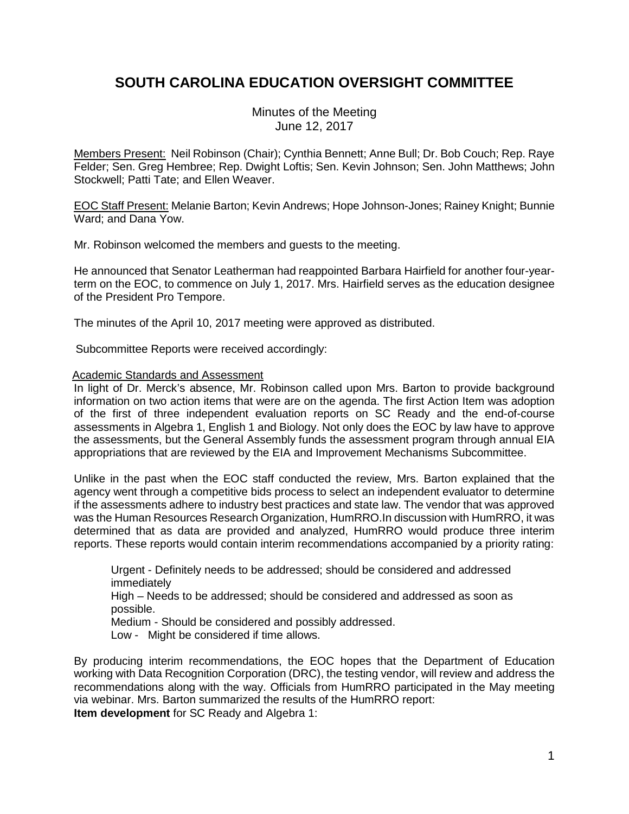# **SOUTH CAROLINA EDUCATION OVERSIGHT COMMITTEE**

Minutes of the Meeting June 12, 2017

Members Present: Neil Robinson (Chair); Cynthia Bennett; Anne Bull; Dr. Bob Couch; Rep. Raye Felder; Sen. Greg Hembree; Rep. Dwight Loftis; Sen. Kevin Johnson; Sen. John Matthews; John Stockwell; Patti Tate; and Ellen Weaver.

EOC Staff Present: Melanie Barton; Kevin Andrews; Hope Johnson-Jones; Rainey Knight; Bunnie Ward; and Dana Yow.

Mr. Robinson welcomed the members and guests to the meeting.

He announced that Senator Leatherman had reappointed Barbara Hairfield for another four-yearterm on the EOC, to commence on July 1, 2017. Mrs. Hairfield serves as the education designee of the President Pro Tempore.

The minutes of the April 10, 2017 meeting were approved as distributed.

Subcommittee Reports were received accordingly:

### Academic Standards and Assessment

In light of Dr. Merck's absence, Mr. Robinson called upon Mrs. Barton to provide background information on two action items that were are on the agenda. The first Action Item was adoption of the first of three independent evaluation reports on SC Ready and the end-of-course assessments in Algebra 1, English 1 and Biology. Not only does the EOC by law have to approve the assessments, but the General Assembly funds the assessment program through annual EIA appropriations that are reviewed by the EIA and Improvement Mechanisms Subcommittee.

Unlike in the past when the EOC staff conducted the review, Mrs. Barton explained that the agency went through a competitive bids process to select an independent evaluator to determine if the assessments adhere to industry best practices and state law. The vendor that was approved was the Human Resources Research Organization, HumRRO.In discussion with HumRRO, it was determined that as data are provided and analyzed, HumRRO would produce three interim reports. These reports would contain interim recommendations accompanied by a priority rating:

Urgent - Definitely needs to be addressed; should be considered and addressed immediately

High – Needs to be addressed; should be considered and addressed as soon as possible.

Medium - Should be considered and possibly addressed.

Low - Might be considered if time allows.

By producing interim recommendations, the EOC hopes that the Department of Education working with Data Recognition Corporation (DRC), the testing vendor, will review and address the recommendations along with the way. Officials from HumRRO participated in the May meeting via webinar. Mrs. Barton summarized the results of the HumRRO report: **Item development** for SC Ready and Algebra 1: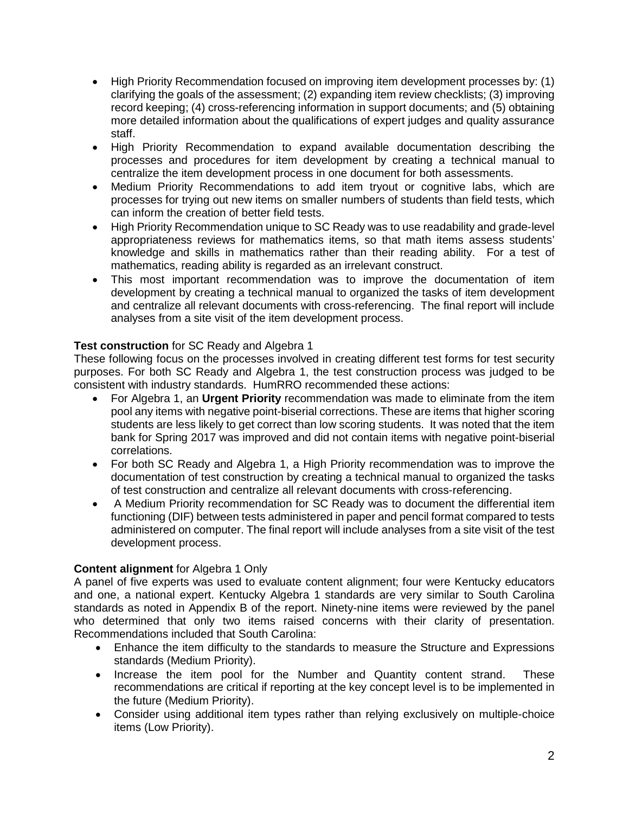- High Priority Recommendation focused on improving item development processes by: (1) clarifying the goals of the assessment; (2) expanding item review checklists; (3) improving record keeping; (4) cross-referencing information in support documents; and (5) obtaining more detailed information about the qualifications of expert judges and quality assurance staff.
- High Priority Recommendation to expand available documentation describing the processes and procedures for item development by creating a technical manual to centralize the item development process in one document for both assessments.
- Medium Priority Recommendations to add item tryout or cognitive labs, which are processes for trying out new items on smaller numbers of students than field tests, which can inform the creation of better field tests.
- High Priority Recommendation unique to SC Ready was to use readability and grade-level appropriateness reviews for mathematics items, so that math items assess students' knowledge and skills in mathematics rather than their reading ability. For a test of mathematics, reading ability is regarded as an irrelevant construct.
- This most important recommendation was to improve the documentation of item development by creating a technical manual to organized the tasks of item development and centralize all relevant documents with cross-referencing. The final report will include analyses from a site visit of the item development process.

## **Test construction** for SC Ready and Algebra 1

These following focus on the processes involved in creating different test forms for test security purposes. For both SC Ready and Algebra 1, the test construction process was judged to be consistent with industry standards. HumRRO recommended these actions:

- For Algebra 1, an **Urgent Priority** recommendation was made to eliminate from the item pool any items with negative point-biserial corrections. These are items that higher scoring students are less likely to get correct than low scoring students. It was noted that the item bank for Spring 2017 was improved and did not contain items with negative point-biserial correlations.
- For both SC Ready and Algebra 1, a High Priority recommendation was to improve the documentation of test construction by creating a technical manual to organized the tasks of test construction and centralize all relevant documents with cross-referencing.
- A Medium Priority recommendation for SC Ready was to document the differential item functioning (DIF) between tests administered in paper and pencil format compared to tests administered on computer. The final report will include analyses from a site visit of the test development process.

## **Content alignment** for Algebra 1 Only

A panel of five experts was used to evaluate content alignment; four were Kentucky educators and one, a national expert. Kentucky Algebra 1 standards are very similar to South Carolina standards as noted in Appendix B of the report. Ninety-nine items were reviewed by the panel who determined that only two items raised concerns with their clarity of presentation. Recommendations included that South Carolina:

- Enhance the item difficulty to the standards to measure the Structure and Expressions standards (Medium Priority).
- Increase the item pool for the Number and Quantity content strand. These recommendations are critical if reporting at the key concept level is to be implemented in the future (Medium Priority).
- Consider using additional item types rather than relying exclusively on multiple-choice items (Low Priority).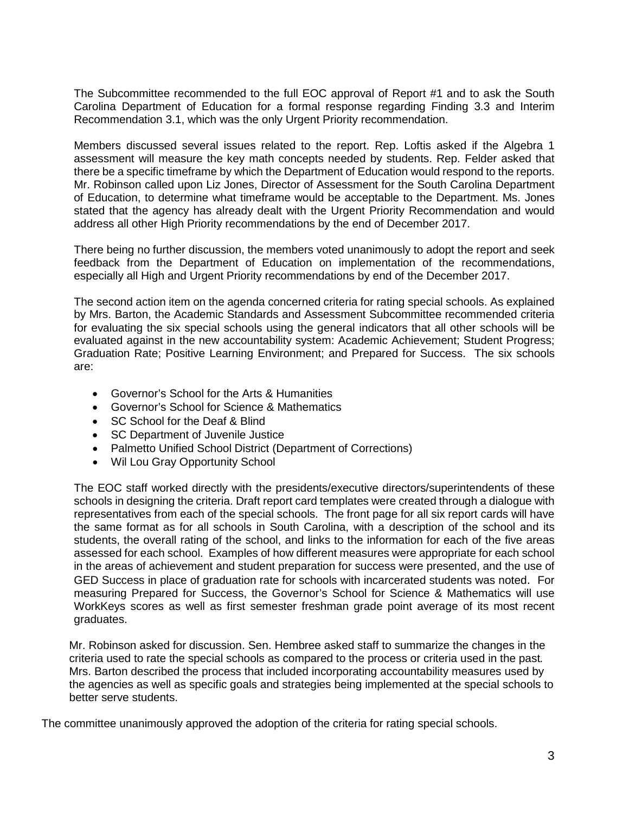The Subcommittee recommended to the full EOC approval of Report #1 and to ask the South Carolina Department of Education for a formal response regarding Finding 3.3 and Interim Recommendation 3.1, which was the only Urgent Priority recommendation.

Members discussed several issues related to the report. Rep. Loftis asked if the Algebra 1 assessment will measure the key math concepts needed by students. Rep. Felder asked that there be a specific timeframe by which the Department of Education would respond to the reports. Mr. Robinson called upon Liz Jones, Director of Assessment for the South Carolina Department of Education, to determine what timeframe would be acceptable to the Department. Ms. Jones stated that the agency has already dealt with the Urgent Priority Recommendation and would address all other High Priority recommendations by the end of December 2017.

There being no further discussion, the members voted unanimously to adopt the report and seek feedback from the Department of Education on implementation of the recommendations, especially all High and Urgent Priority recommendations by end of the December 2017.

The second action item on the agenda concerned criteria for rating special schools. As explained by Mrs. Barton, the Academic Standards and Assessment Subcommittee recommended criteria for evaluating the six special schools using the general indicators that all other schools will be evaluated against in the new accountability system: Academic Achievement; Student Progress; Graduation Rate; Positive Learning Environment; and Prepared for Success. The six schools are:

- Governor's School for the Arts & Humanities
- Governor's School for Science & Mathematics
- SC School for the Deaf & Blind
- SC Department of Juvenile Justice
- Palmetto Unified School District (Department of Corrections)
- Wil Lou Gray Opportunity School

The EOC staff worked directly with the presidents/executive directors/superintendents of these schools in designing the criteria. Draft report card templates were created through a dialogue with representatives from each of the special schools. The front page for all six report cards will have the same format as for all schools in South Carolina, with a description of the school and its students, the overall rating of the school, and links to the information for each of the five areas assessed for each school. Examples of how different measures were appropriate for each school in the areas of achievement and student preparation for success were presented, and the use of GED Success in place of graduation rate for schools with incarcerated students was noted. For measuring Prepared for Success, the Governor's School for Science & Mathematics will use WorkKeys scores as well as first semester freshman grade point average of its most recent graduates.

Mr. Robinson asked for discussion. Sen. Hembree asked staff to summarize the changes in the criteria used to rate the special schools as compared to the process or criteria used in the past*.*  Mrs. Barton described the process that included incorporating accountability measures used by the agencies as well as specific goals and strategies being implemented at the special schools to better serve students.

The committee unanimously approved the adoption of the criteria for rating special schools.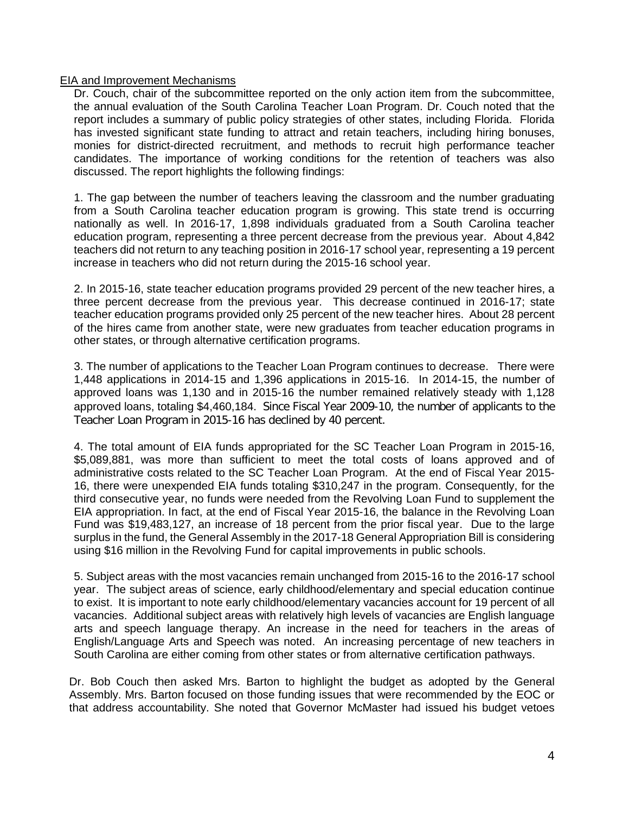### EIA and Improvement Mechanisms

Dr. Couch, chair of the subcommittee reported on the only action item from the subcommittee, the annual evaluation of the South Carolina Teacher Loan Program. Dr. Couch noted that the report includes a summary of public policy strategies of other states, including Florida. Florida has invested significant state funding to attract and retain teachers, including hiring bonuses, monies for district-directed recruitment, and methods to recruit high performance teacher candidates. The importance of working conditions for the retention of teachers was also discussed. The report highlights the following findings:

1. The gap between the number of teachers leaving the classroom and the number graduating from a South Carolina teacher education program is growing. This state trend is occurring nationally as well. In 2016-17, 1,898 individuals graduated from a South Carolina teacher education program, representing a three percent decrease from the previous year. About 4,842 teachers did not return to any teaching position in 2016-17 school year, representing a 19 percent increase in teachers who did not return during the 2015-16 school year.

2. In 2015-16, state teacher education programs provided 29 percent of the new teacher hires, a three percent decrease from the previous year. This decrease continued in 2016-17; state teacher education programs provided only 25 percent of the new teacher hires. About 28 percent of the hires came from another state, were new graduates from teacher education programs in other states, or through alternative certification programs.

3. The number of applications to the Teacher Loan Program continues to decrease. There were 1,448 applications in 2014-15 and 1,396 applications in 2015-16. In 2014-15, the number of approved loans was 1,130 and in 2015-16 the number remained relatively steady with 1,128 approved loans, totaling \$4,460,184. Since Fiscal Year 2009-10, the number of applicants to the Teacher Loan Program in 2015-16 has declined by 40 percent.

4. The total amount of EIA funds appropriated for the SC Teacher Loan Program in 2015-16, \$5,089,881, was more than sufficient to meet the total costs of loans approved and of administrative costs related to the SC Teacher Loan Program. At the end of Fiscal Year 2015- 16, there were unexpended EIA funds totaling \$310,247 in the program. Consequently, for the third consecutive year, no funds were needed from the Revolving Loan Fund to supplement the EIA appropriation. In fact, at the end of Fiscal Year 2015-16, the balance in the Revolving Loan Fund was \$19,483,127, an increase of 18 percent from the prior fiscal year. Due to the large surplus in the fund, the General Assembly in the 2017-18 General Appropriation Bill is considering using \$16 million in the Revolving Fund for capital improvements in public schools.

5. Subject areas with the most vacancies remain unchanged from 2015-16 to the 2016-17 school year. The subject areas of science, early childhood/elementary and special education continue to exist. It is important to note early childhood/elementary vacancies account for 19 percent of all vacancies. Additional subject areas with relatively high levels of vacancies are English language arts and speech language therapy. An increase in the need for teachers in the areas of English/Language Arts and Speech was noted. An increasing percentage of new teachers in South Carolina are either coming from other states or from alternative certification pathways.

Dr. Bob Couch then asked Mrs. Barton to highlight the budget as adopted by the General Assembly. Mrs. Barton focused on those funding issues that were recommended by the EOC or that address accountability. She noted that Governor McMaster had issued his budget vetoes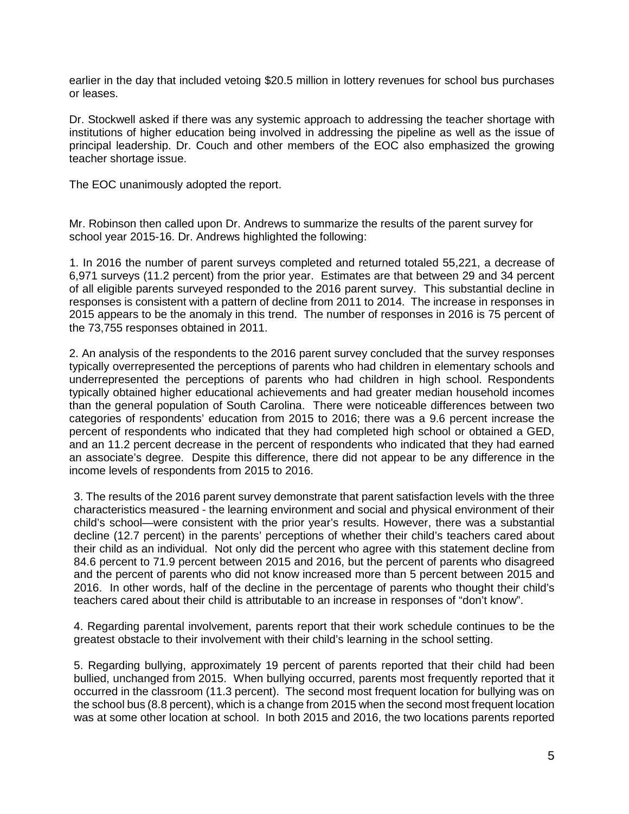earlier in the day that included vetoing \$20.5 million in lottery revenues for school bus purchases or leases.

Dr. Stockwell asked if there was any systemic approach to addressing the teacher shortage with institutions of higher education being involved in addressing the pipeline as well as the issue of principal leadership. Dr. Couch and other members of the EOC also emphasized the growing teacher shortage issue.

The EOC unanimously adopted the report.

Mr. Robinson then called upon Dr. Andrews to summarize the results of the parent survey for school year 2015-16. Dr. Andrews highlighted the following:

 1. In 2016 the number of parent surveys completed and returned totaled 55,221, a decrease of 6,971 surveys (11.2 percent) from the prior year. Estimates are that between 29 and 34 percent of all eligible parents surveyed responded to the 2016 parent survey. This substantial decline in responses is consistent with a pattern of decline from 2011 to 2014. The increase in responses in 2015 appears to be the anomaly in this trend. The number of responses in 2016 is 75 percent of the 73,755 responses obtained in 2011.

2. An analysis of the respondents to the 2016 parent survey concluded that the survey responses typically overrepresented the perceptions of parents who had children in elementary schools and underrepresented the perceptions of parents who had children in high school. Respondents typically obtained higher educational achievements and had greater median household incomes than the general population of South Carolina. There were noticeable differences between two categories of respondents' education from 2015 to 2016; there was a 9.6 percent increase the percent of respondents who indicated that they had completed high school or obtained a GED, and an 11.2 percent decrease in the percent of respondents who indicated that they had earned an associate's degree. Despite this difference, there did not appear to be any difference in the income levels of respondents from 2015 to 2016.

3. The results of the 2016 parent survey demonstrate that parent satisfaction levels with the three characteristics measured - the learning environment and social and physical environment of their child's school—were consistent with the prior year's results. However, there was a substantial decline (12.7 percent) in the parents' perceptions of whether their child's teachers cared about their child as an individual. Not only did the percent who agree with this statement decline from 84.6 percent to 71.9 percent between 2015 and 2016, but the percent of parents who disagreed and the percent of parents who did not know increased more than 5 percent between 2015 and 2016. In other words, half of the decline in the percentage of parents who thought their child's teachers cared about their child is attributable to an increase in responses of "don't know".

4. Regarding parental involvement, parents report that their work schedule continues to be the greatest obstacle to their involvement with their child's learning in the school setting.

5. Regarding bullying, approximately 19 percent of parents reported that their child had been bullied, unchanged from 2015. When bullying occurred, parents most frequently reported that it occurred in the classroom (11.3 percent). The second most frequent location for bullying was on the school bus (8.8 percent), which is a change from 2015 when the second most frequent location was at some other location at school. In both 2015 and 2016, the two locations parents reported